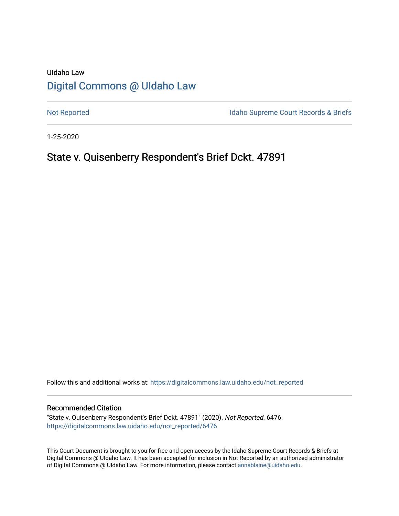# UIdaho Law [Digital Commons @ UIdaho Law](https://digitalcommons.law.uidaho.edu/)

[Not Reported](https://digitalcommons.law.uidaho.edu/not_reported) **Idaho Supreme Court Records & Briefs** 

1-25-2020

## State v. Quisenberry Respondent's Brief Dckt. 47891

Follow this and additional works at: [https://digitalcommons.law.uidaho.edu/not\\_reported](https://digitalcommons.law.uidaho.edu/not_reported?utm_source=digitalcommons.law.uidaho.edu%2Fnot_reported%2F6476&utm_medium=PDF&utm_campaign=PDFCoverPages) 

#### Recommended Citation

"State v. Quisenberry Respondent's Brief Dckt. 47891" (2020). Not Reported. 6476. [https://digitalcommons.law.uidaho.edu/not\\_reported/6476](https://digitalcommons.law.uidaho.edu/not_reported/6476?utm_source=digitalcommons.law.uidaho.edu%2Fnot_reported%2F6476&utm_medium=PDF&utm_campaign=PDFCoverPages)

This Court Document is brought to you for free and open access by the Idaho Supreme Court Records & Briefs at Digital Commons @ UIdaho Law. It has been accepted for inclusion in Not Reported by an authorized administrator of Digital Commons @ UIdaho Law. For more information, please contact [annablaine@uidaho.edu](mailto:annablaine@uidaho.edu).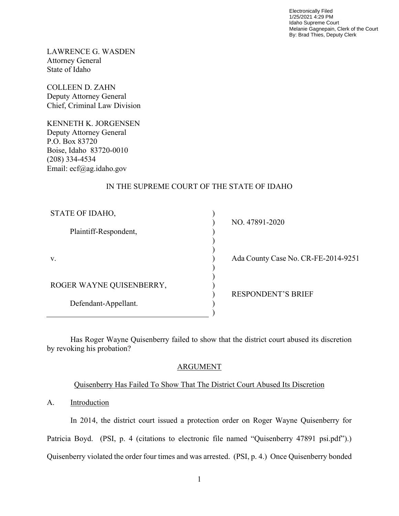Electronically Filed 1/25/2021 4:29 PM Idaho Supreme Court Melanie Gagnepain, Clerk of the Court By: Brad Thies, Deputy Clerk

LAWRENCE G. WASDEN Attorney General State of Idaho

COLLEEN D. ZAHN Deputy Attorney General Chief, Criminal Law Division

KENNETH K. JORGENSEN Deputy Attorney General P.O. Box 83720 Boise, Idaho 83720-0010 (208) 334-4534 Email: ecf@ag.idaho.gov

## IN THE SUPREME COURT OF THE STATE OF IDAHO

| STATE OF IDAHO,          |  |
|--------------------------|--|
| Plaintiff-Respondent,    |  |
|                          |  |
| V.                       |  |
|                          |  |
| ROGER WAYNE QUISENBERRY, |  |
| Defendant-Appellant.     |  |
|                          |  |

NO. 47891-2020

Ada County Case No. CR-FE-2014-9251

RESPONDENT'S BRIEF

 Has Roger Wayne Quisenberry failed to show that the district court abused its discretion by revoking his probation?

## ARGUMENT

## Quisenberry Has Failed To Show That The District Court Abused Its Discretion

A. Introduction

In 2014, the district court issued a protection order on Roger Wayne Quisenberry for Patricia Boyd. (PSI, p. 4 (citations to electronic file named "Quisenberry 47891 psi.pdf").) Quisenberry violated the order four times and was arrested. (PSI, p. 4.) Once Quisenberry bonded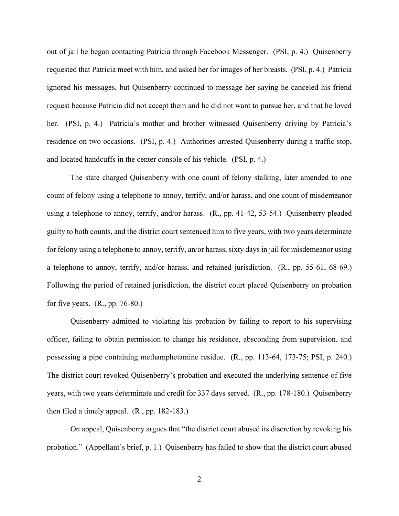out of jail he began contacting Patricia through Facebook Messenger. (PSI, p. 4.) Quisenberry requested that Patricia meet with him, and asked her for images of her breasts. (PSI, p. 4.) Patricia ignored his messages, but Quisenberry continued to message her saying he canceled his friend request because Patricia did not accept them and he did not want to pursue her, and that he loved her. (PSI, p. 4.) Patricia's mother and brother witnessed Quisenberry driving by Patricia's residence on two occasions. (PSI, p. 4.) Authorities arrested Quisenberry during a traffic stop, and located handcuffs in the center console of his vehicle. (PSI, p. 4.)

The state charged Quisenberry with one count of felony stalking, later amended to one count of felony using a telephone to annoy, terrify, and/or harass, and one count of misdemeanor using a telephone to annoy, terrify, and/or harass. (R., pp. 41-42, 53-54.) Quisenberry pleaded guilty to both counts, and the district court sentenced him to five years, with two years determinate for felony using a telephone to annoy, terrify, an/or harass, sixty days in jail for misdemeanor using a telephone to annoy, terrify, and/or harass, and retained jurisdiction. (R., pp. 55-61, 68-69.) Following the period of retained jurisdiction, the district court placed Quisenberry on probation for five years.  $(R., pp. 76-80.)$ 

Quisenberry admitted to violating his probation by failing to report to his supervising officer, failing to obtain permission to change his residence, absconding from supervision, and possessing a pipe containing methamphetamine residue. (R., pp. 113-64, 173-75; PSI, p. 240.) The district court revoked Quisenberry's probation and executed the underlying sentence of five years, with two years determinate and credit for 337 days served. (R., pp. 178-180.) Quisenberry then filed a timely appeal. (R., pp. 182-183.)

On appeal, Quisenberry argues that "the district court abused its discretion by revoking his probation." (Appellant's brief, p. 1.) Quisenberry has failed to show that the district court abused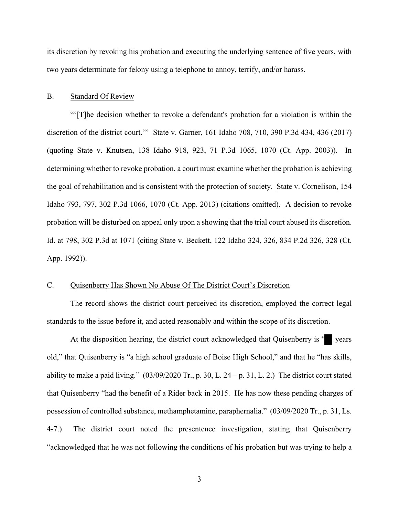its discretion by revoking his probation and executing the underlying sentence of five years, with two years determinate for felony using a telephone to annoy, terrify, and/or harass.

#### B. Standard Of Review

 "'[T]he decision whether to revoke a defendant's probation for a violation is within the discretion of the district court.'" State v. Garner, 161 Idaho 708, 710, 390 P.3d 434, 436 (2017) (quoting State v. Knutsen, 138 Idaho 918, 923, 71 P.3d 1065, 1070 (Ct. App. 2003)). In determining whether to revoke probation, a court must examine whether the probation is achieving the goal of rehabilitation and is consistent with the protection of society. State v. Cornelison, 154 Idaho 793, 797, 302 P.3d 1066, 1070 (Ct. App. 2013) (citations omitted). A decision to revoke probation will be disturbed on appeal only upon a showing that the trial court abused its discretion. Id. at 798, 302 P.3d at 1071 (citing State v. Beckett, 122 Idaho 324, 326, 834 P.2d 326, 328 (Ct. App. 1992)).

#### C. Quisenberry Has Shown No Abuse Of The District Court's Discretion

The record shows the district court perceived its discretion, employed the correct legal standards to the issue before it, and acted reasonably and within the scope of its discretion.

At the disposition hearing, the district court acknowledged that Quisenberry is " years old," that Quisenberry is "a high school graduate of Boise High School," and that he "has skills, ability to make a paid living."  $(03/09/2020 \text{ Tr.}, p. 30, L. 24 - p. 31, L. 2.)$  The district court stated that Quisenberry "had the benefit of a Rider back in 2015. He has now these pending charges of possession of controlled substance, methamphetamine, paraphernalia." (03/09/2020 Tr., p. 31, Ls. 4-7.) The district court noted the presentence investigation, stating that Quisenberry "acknowledged that he was not following the conditions of his probation but was trying to help a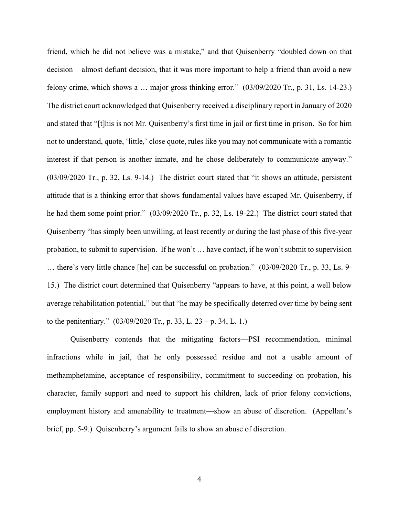friend, which he did not believe was a mistake," and that Quisenberry "doubled down on that decision – almost defiant decision, that it was more important to help a friend than avoid a new felony crime, which shows a … major gross thinking error." (03/09/2020 Tr., p. 31, Ls. 14-23.) The district court acknowledged that Quisenberry received a disciplinary report in January of 2020 and stated that "[t]his is not Mr. Quisenberry's first time in jail or first time in prison. So for him not to understand, quote, 'little,' close quote, rules like you may not communicate with a romantic interest if that person is another inmate, and he chose deliberately to communicate anyway." (03/09/2020 Tr., p. 32, Ls. 9-14.) The district court stated that "it shows an attitude, persistent attitude that is a thinking error that shows fundamental values have escaped Mr. Quisenberry, if he had them some point prior."  $(03/09/2020 \text{ Tr.}, p. 32, Ls. 19-22)$  The district court stated that Quisenberry "has simply been unwilling, at least recently or during the last phase of this five-year probation, to submit to supervision. If he won't … have contact, if he won't submit to supervision … there's very little chance [he] can be successful on probation." (03/09/2020 Tr., p. 33, Ls. 9- 15.) The district court determined that Quisenberry "appears to have, at this point, a well below average rehabilitation potential," but that "he may be specifically deterred over time by being sent to the penitentiary." (03/09/2020 Tr., p. 33, L. 23 – p. 34, L. 1.)

Quisenberry contends that the mitigating factors—PSI recommendation, minimal infractions while in jail, that he only possessed residue and not a usable amount of methamphetamine, acceptance of responsibility, commitment to succeeding on probation, his character, family support and need to support his children, lack of prior felony convictions, employment history and amenability to treatment—show an abuse of discretion. (Appellant's brief, pp. 5-9.) Quisenberry's argument fails to show an abuse of discretion.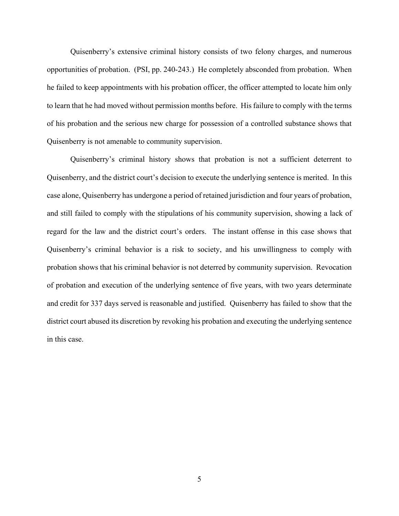Quisenberry's extensive criminal history consists of two felony charges, and numerous opportunities of probation. (PSI, pp. 240-243.) He completely absconded from probation. When he failed to keep appointments with his probation officer, the officer attempted to locate him only to learn that he had moved without permission months before. His failure to comply with the terms of his probation and the serious new charge for possession of a controlled substance shows that Quisenberry is not amenable to community supervision.

Quisenberry's criminal history shows that probation is not a sufficient deterrent to Quisenberry, and the district court's decision to execute the underlying sentence is merited. In this case alone, Quisenberry has undergone a period of retained jurisdiction and four years of probation, and still failed to comply with the stipulations of his community supervision, showing a lack of regard for the law and the district court's orders. The instant offense in this case shows that Quisenberry's criminal behavior is a risk to society, and his unwillingness to comply with probation shows that his criminal behavior is not deterred by community supervision. Revocation of probation and execution of the underlying sentence of five years, with two years determinate and credit for 337 days served is reasonable and justified. Quisenberry has failed to show that the district court abused its discretion by revoking his probation and executing the underlying sentence in this case.